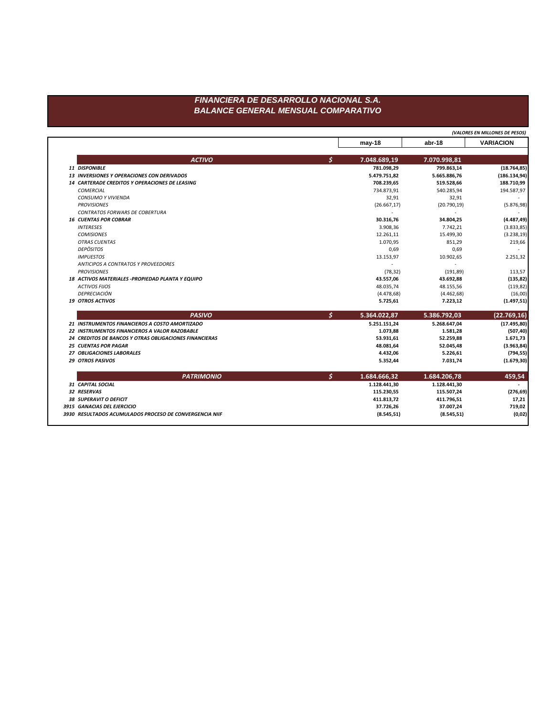## FINANCIERA DE DESARROLLO NACIONAL S.A. **BALANCE GENERAL MENSUAL COMPARATIVO**

|                                                        | (VALORES EN MILLONES DE PESOS) |              |                  |  |
|--------------------------------------------------------|--------------------------------|--------------|------------------|--|
|                                                        | $may-18$                       | abr-18       | <b>VARIACION</b> |  |
| <b>ACTIVO</b>                                          | \$<br>7.048.689,19             | 7.070.998,81 |                  |  |
| 11 DISPONIBLE                                          | 781.098,29                     | 799.863,14   | (18.764, 85)     |  |
| <b>13 INVERSIONES Y OPERACIONES CON DERIVADOS</b>      | 5.479.751,82                   | 5.665.886,76 | (186.134, 94)    |  |
| <b>14 CARTERADE CREDITOS Y OPERACIONES DE LEASING</b>  | 708.239,65                     | 519.528,66   | 188.710,99       |  |
| COMERCIAL                                              | 734.873,91                     | 540.285,94   | 194.587,97       |  |
| <b>CONSUMO Y VIVIENDA</b>                              | 32,91                          | 32,91        |                  |  |
| <b>PROVISIONES</b>                                     | (26.667, 17)                   | (20.790, 19) | (5.876, 98)      |  |
| CONTRATOS FORWARS DE COBERTURA                         |                                |              |                  |  |
| <b>16 CUENTAS POR COBRAR</b>                           | 30.316,76                      | 34.804,25    | (4.487, 49)      |  |
| <b>INTERESES</b>                                       | 3.908,36                       | 7.742,21     | (3.833, 85)      |  |
| <b>COMISIONES</b>                                      | 12.261,11                      | 15.499,30    | (3.238, 19)      |  |
| <b>OTRAS CUENTAS</b>                                   | 1.070,95                       | 851,29       | 219,66           |  |
| <b>DEPÖSITOS</b>                                       | 0,69                           | 0,69         |                  |  |
| <b>IMPUESTOS</b>                                       | 13.153,97                      | 10.902,65    | 2.251,32         |  |
| ANTICIPOS A CONTRATOS Y PROVEEDORES                    | $\sim$                         |              |                  |  |
| <b>PROVISIONES</b>                                     | (78, 32)                       | (191, 89)    | 113,57           |  |
| 18 ACTIVOS MATERIALES - PROPIEDAD PLANTA Y EQUIPO      | 43.557,06                      | 43.692,88    | (135, 82)        |  |
| <b>ACTIVOS FIJOS</b>                                   | 48.035,74                      | 48.155,56    | (119, 82)        |  |
| DEPRECIACIÓN                                           | (4.478, 68)                    | (4.462, 68)  | (16,00)          |  |
| <b>19 OTROS ACTIVOS</b>                                | 5.725,61                       | 7.223,12     | (1.497, 51)      |  |
| <b>PASIVO</b>                                          | \$<br>5.364.022,87             | 5.386.792,03 | (22.769, 16)     |  |
| 21 INSTRUMENTOS FINANCIEROS A COSTO AMORTIZADO         | 5.251.151,24                   | 5.268.647,04 | (17.495, 80)     |  |
| 22 INSTRUMENTOS FINANCIEROS A VALOR RAZOBABLE          | 1.073,88                       | 1.581,28     | (507, 40)        |  |
| 24 CREDITOS DE BANCOS Y OTRAS OBLIGACIONES FINANCIERAS | 53.931,61                      | 52.259,88    | 1.671,73         |  |
| <b>25 CUENTAS POR PAGAR</b>                            | 48.081,64                      | 52.045,48    | (3.963, 84)      |  |
| 27 OBLIGACIONES LABORALES                              | 4.432,06                       | 5.226,61     | (794, 55)        |  |
| 29 OTROS PASIVOS                                       | 5.352,44                       | 7.031,74     | (1.679, 30)      |  |
| <b>PATRIMONIO</b>                                      | \$<br>1.684.666,32             | 1.684.206,78 | 459,54           |  |
| 31 CAPITAL SOCIAL                                      | 1.128.441,30                   | 1.128.441,30 |                  |  |
| 32 RESERVAS                                            | 115.230,55                     | 115.507,24   | (276, 69)        |  |
| <b>38 SUPERAVIT O DEFICIT</b>                          | 411.813,72                     | 411.796,51   | 17,21            |  |
| 3915 GANACIAS DEL EJERCICIO                            | 37.726,26                      | 37.007,24    | 719,02           |  |
|                                                        |                                |              |                  |  |